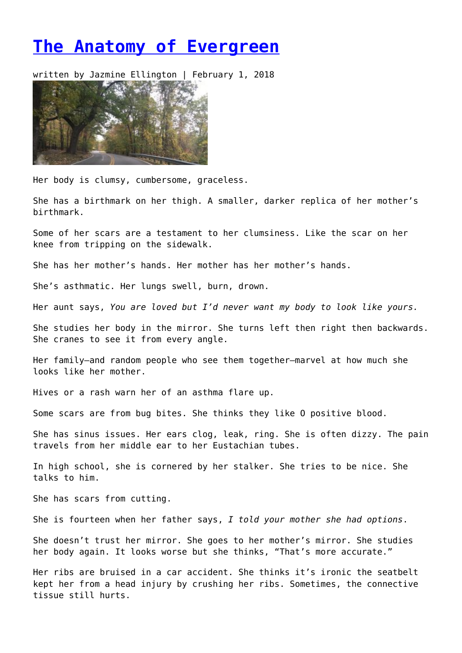## **[The Anatomy of Evergreen](https://entropymag.org/the-anatomy-of-evergreen/)**

written by Jazmine Ellington | February 1, 2018



Her body is clumsy, cumbersome, graceless.

She has a birthmark on her thigh. A smaller, darker replica of her mother's birthmark.

Some of her scars are a testament to her clumsiness. Like the scar on her knee from tripping on the sidewalk.

She has her mother's hands. Her mother has her mother's hands.

She's asthmatic. Her lungs swell, burn, drown.

Her aunt says, *You are loved but I'd never want my body to look like yours.*

She studies her body in the mirror. She turns left then right then backwards. She cranes to see it from every angle.

Her family—and random people who see them together—marvel at how much she looks like her mother.

Hives or a rash warn her of an asthma flare up.

Some scars are from bug bites. She thinks they like O positive blood.

She has sinus issues. Her ears clog, leak, ring. She is often dizzy. The pain travels from her middle ear to her Eustachian tubes.

In high school, she is cornered by her stalker. She tries to be nice. She talks to him.

She has scars from cutting.

She is fourteen when her father says, *I told your mother she had options*.

She doesn't trust her mirror. She goes to her mother's mirror. She studies her body again. It looks worse but she thinks, "That's more accurate."

Her ribs are bruised in a car accident. She thinks it's ironic the seatbelt kept her from a head injury by crushing her ribs. Sometimes, the connective tissue still hurts.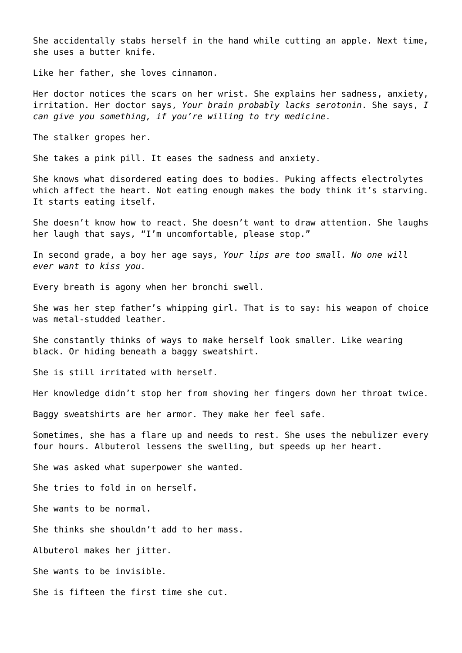She accidentally stabs herself in the hand while cutting an apple. Next time, she uses a butter knife.

Like her father, she loves cinnamon.

Her doctor notices the scars on her wrist. She explains her sadness, anxiety, irritation. Her doctor says, *Your brain probably lacks serotonin*. She says, *I can give you something, if you're willing to try medicine.*

The stalker gropes her.

She takes a pink pill. It eases the sadness and anxiety.

She knows what disordered eating does to bodies. Puking affects electrolytes which affect the heart. Not eating enough makes the body think it's starving. It starts eating itself.

She doesn't know how to react. She doesn't want to draw attention. She laughs her laugh that says, "I'm uncomfortable, please stop."

In second grade, a boy her age says, *Your lips are too small. No one will ever want to kiss you.*

Every breath is agony when her bronchi swell.

She was her step father's whipping girl. That is to say: his weapon of choice was metal-studded leather.

She constantly thinks of ways to make herself look smaller. Like wearing black. Or hiding beneath a baggy sweatshirt.

She is still irritated with herself.

Her knowledge didn't stop her from shoving her fingers down her throat twice.

Baggy sweatshirts are her armor. They make her feel safe.

Sometimes, she has a flare up and needs to rest. She uses the nebulizer every four hours. Albuterol lessens the swelling, but speeds up her heart.

She was asked what superpower she wanted.

She tries to fold in on herself.

She wants to be normal.

She thinks she shouldn't add to her mass.

Albuterol makes her jitter.

She wants to be invisible.

She is fifteen the first time she cut.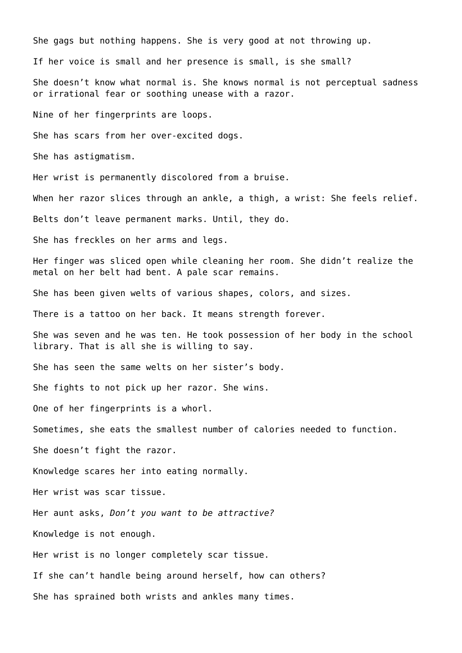She gags but nothing happens. She is very good at not throwing up. If her voice is small and her presence is small, is she small? She doesn't know what normal is. She knows normal is not perceptual sadness or irrational fear or soothing unease with a razor. Nine of her fingerprints are loops. She has scars from her over-excited dogs. She has astigmatism. Her wrist is permanently discolored from a bruise. When her razor slices through an ankle, a thigh, a wrist: She feels relief. Belts don't leave permanent marks. Until, they do. She has freckles on her arms and legs. Her finger was sliced open while cleaning her room. She didn't realize the metal on her belt had bent. A pale scar remains. She has been given welts of various shapes, colors, and sizes. There is a tattoo on her back. It means strength forever. She was seven and he was ten. He took possession of her body in the school library. That is all she is willing to say. She has seen the same welts on her sister's body. She fights to not pick up her razor. She wins. One of her fingerprints is a whorl. Sometimes, she eats the smallest number of calories needed to function. She doesn't fight the razor. Knowledge scares her into eating normally. Her wrist was scar tissue. Her aunt asks, *Don't you want to be attractive?* Knowledge is not enough. Her wrist is no longer completely scar tissue. If she can't handle being around herself, how can others? She has sprained both wrists and ankles many times.